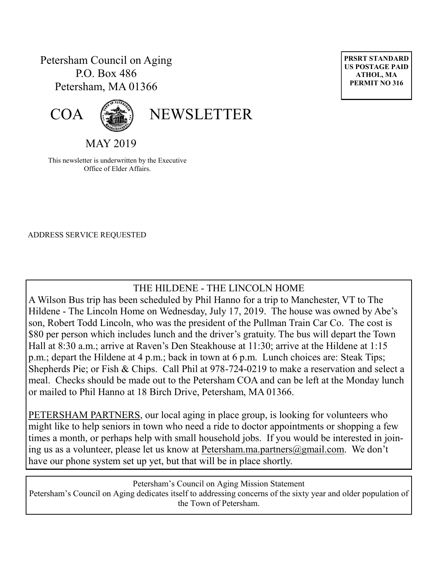## Petersham Council on Aging P.O. Box 486 Petersham, MA 01366





# COA (<a>
<a>
<a>
<a>
NEWSLETTER

MAY 2019

This newsletter is underwritten by the Executive Office of Elder Affairs.

ADDRESS SERVICE REQUESTED

## THE HILDENE - THE LINCOLN HOME

A Wilson Bus trip has been scheduled by Phil Hanno for a trip to Manchester, VT to The Hildene - The Lincoln Home on Wednesday, July 17, 2019. The house was owned by Abe's son, Robert Todd Lincoln, who was the president of the Pullman Train Car Co. The cost is \$80 per person which includes lunch and the driver's gratuity. The bus will depart the Town Hall at 8:30 a.m.; arrive at Raven's Den Steakhouse at 11:30; arrive at the Hildene at 1:15 p.m.; depart the Hildene at 4 p.m.; back in town at 6 p.m. Lunch choices are: Steak Tips; Shepherds Pie; or Fish & Chips. Call Phil at 978-724-0219 to make a reservation and select a meal. Checks should be made out to the Petersham COA and can be left at the Monday lunch or mailed to Phil Hanno at 18 Birch Drive, Petersham, MA 01366.

PETERSHAM PARTNERS, our local aging in place group, is looking for volunteers who might like to help seniors in town who need a ride to doctor appointments or shopping a few times a month, or perhaps help with small household jobs. If you would be interested in joining us as a volunteer, please let us know at Petersham.ma.partners@gmail.com. We don't have our phone system set up yet, but that will be in place shortly.

Petersham's Council on Aging Mission Statement Petersham's Council on Aging dedicates itself to addressing concerns of the sixty year and older population of the Town of Petersham.

**PRSRT STANDARD US POSTAGE PAID ATHOL, MA PERMIT NO 316**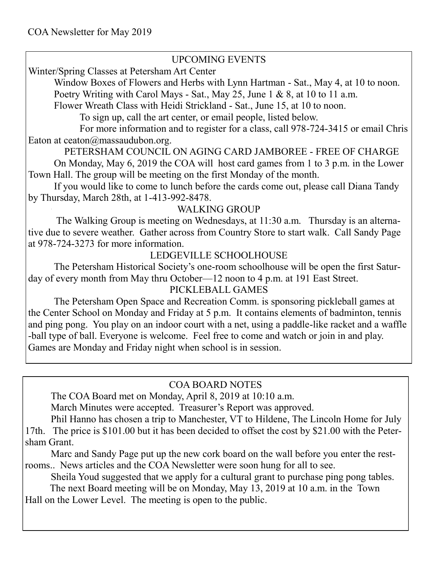#### UPCOMING EVENTS

Winter/Spring Classes at Petersham Art Center

Window Boxes of Flowers and Herbs with Lynn Hartman - Sat., May 4, at 10 to noon. Poetry Writing with Carol Mays - Sat., May 25, June 1 & 8, at 10 to 11 a.m.

Flower Wreath Class with Heidi Strickland - Sat., June 15, at 10 to noon.

To sign up, call the art center, or email people, listed below.

For more information and to register for a class, call 978-724-3415 or email Chris Eaton at ceaton $\omega$ massaudubon.org.

PETERSHAM COUNCIL ON AGING CARD JAMBOREE - FREE OF CHARGE

On Monday, May 6, 2019 the COA will host card games from 1 to 3 p.m. in the Lower Town Hall. The group will be meeting on the first Monday of the month.

If you would like to come to lunch before the cards come out, please call Diana Tandy by Thursday, March 28th, at 1-413-992-8478.

#### WALKING GROUP

The Walking Group is meeting on Wednesdays, at 11:30 a.m. Thursday is an alternative due to severe weather. Gather across from Country Store to start walk. Call Sandy Page at 978-724-3273 for more information.

#### LEDGEVILLE SCHOOLHOUSE

The Petersham Historical Society's one-room schoolhouse will be open the first Saturday of every month from May thru October—12 noon to 4 p.m. at 191 East Street.

#### PICKLEBALL GAMES

The Petersham Open Space and Recreation Comm. is sponsoring pickleball games at the Center School on Monday and Friday at 5 p.m. It contains elements of badminton, tennis and ping pong. You play on an indoor court with a net, using a paddle-like racket and a waffle -ball type of ball. Everyone is welcome. Feel free to come and watch or join in and play. Games are Monday and Friday night when school is in session.

## COA BOARD NOTES

The COA Board met on Monday, April 8, 2019 at 10:10 a.m.

March Minutes were accepted. Treasurer's Report was approved.

Phil Hanno has chosen a trip to Manchester, VT to Hildene, The Lincoln Home for July 17th. The price is \$101.00 but it has been decided to offset the cost by \$21.00 with the Petersham Grant.

Marc and Sandy Page put up the new cork board on the wall before you enter the restrooms.. News articles and the COA Newsletter were soon hung for all to see.

Sheila Youd suggested that we apply for a cultural grant to purchase ping pong tables.

 The next Board meeting will be on Monday, May 13, 2019 at 10 a.m. in the Town Hall on the Lower Level. The meeting is open to the public.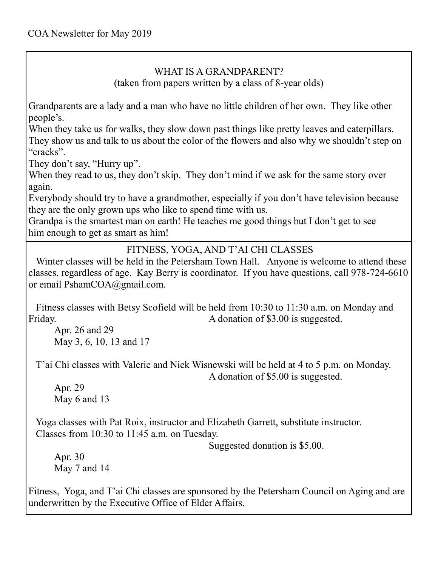## WHAT IS A GRANDPARENT?

(taken from papers written by a class of 8-year olds)

Grandparents are a lady and a man who have no little children of her own. They like other people's.

When they take us for walks, they slow down past things like pretty leaves and caterpillars. They show us and talk to us about the color of the flowers and also why we shouldn't step on "cracks".

They don't say, "Hurry up".

When they read to us, they don't skip. They don't mind if we ask for the same story over again.

Everybody should try to have a grandmother, especially if you don't have television because they are the only grown ups who like to spend time with us.

Grandpa is the smartest man on earth! He teaches me good things but I don't get to see him enough to get as smart as him!

#### FITNESS, YOGA, AND T'AI CHI CLASSES

 Winter classes will be held in the Petersham Town Hall. Anyone is welcome to attend these classes, regardless of age. Kay Berry is coordinator. If you have questions, call 978-724-6610 or email PshamCOA@gmail.com.

 Fitness classes with Betsy Scofield will be held from 10:30 to 11:30 a.m. on Monday and Friday. The same state of  $\beta$  and  $\alpha$  and  $\beta$  and  $\beta$  and  $\beta$  and  $\beta$  and  $\beta$  and  $\beta$  and  $\beta$  and  $\beta$  and  $\beta$  and  $\beta$  and  $\beta$  and  $\beta$  and  $\beta$  and  $\beta$  and  $\beta$  and  $\beta$  and  $\beta$  and  $\beta$  and  $\beta$  and  $\beta$  an

Apr. 26 and 29 May 3, 6, 10, 13 and 17

 T'ai Chi classes with Valerie and Nick Wisnewski will be held at 4 to 5 p.m. on Monday. A donation of \$5.00 is suggested.

Apr. 29 May 6 and 13

 Yoga classes with Pat Roix, instructor and Elizabeth Garrett, substitute instructor. Classes from 10:30 to 11:45 a.m. on Tuesday.

Suggested donation is \$5.00.

Apr. 30 May 7 and 14

Fitness, Yoga, and T'ai Chi classes are sponsored by the Petersham Council on Aging and are underwritten by the Executive Office of Elder Affairs.